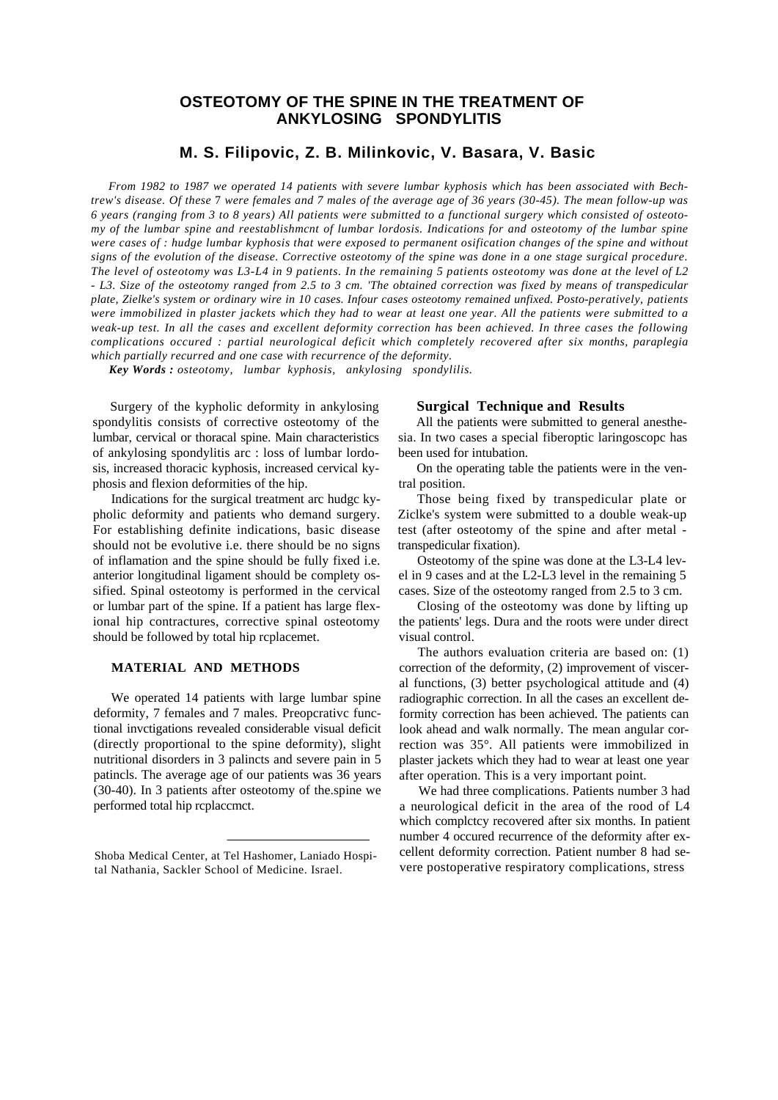## **OSTEOTOMY OF THE SPINE IN THE TREATMENT OF ANKYLOSING SPONDYLITIS**

# **M. S. Filipovic, Z. B. Milinkovic, V. Basara, V. Basic**

*From 1982 to 1987 we operated 14 patients with severe lumbar kyphosis which has been associated with Bechtrew's disease. Of these* 7 *were females and 7 males of the average age of 36 years (30-45). The mean follow-up was 6 years (ranging from 3 to 8 years) All patients were submitted to a functional surgery which consisted of osteotomy of the lumbar spine and reestablishmcnt of lumbar lordosis. Indications for and osteotomy of the lumbar spine were cases of : hudge lumbar kyphosis that were exposed to permanent osification changes of the spine and without signs of the evolution of the disease. Corrective osteotomy of the spine was done in a one stage surgical procedure. The level of osteotomy was L3-L4 in 9 patients. In the remaining 5 patients osteotomy was done at the level of L2 - L3. Size of the osteotomy ranged from 2.5 to 3 cm. 'The obtained correction was fixed by means of transpedicular plate, Zielke's system or ordinary wire in 10 cases. Infour cases osteotomy remained unfixed. Posto-peratively, patients were immobilized in plaster jackets which they had to wear at least one year. All the patients were submitted to a weak-up test. In all the cases and excellent deformity correction has been achieved. In three cases the following complications occured : partial neurological deficit which completely recovered after six months, paraplegia which partially recurred and one case with recurrence of the deformity.*

*Key Words : osteotomy, lumbar kyphosis, ankylosing spondylilis.*

Surgery of the kypholic deformity in ankylosing spondylitis consists of corrective osteotomy of the lumbar, cervical or thoracal spine. Main characteristics of ankylosing spondylitis arc : loss of lumbar lordosis, increased thoracic kyphosis, increased cervical kyphosis and flexion deformities of the hip.

Indications for the surgical treatment arc hudgc kypholic deformity and patients who demand surgery. For establishing definite indications, basic disease should not be evolutive i.e. there should be no signs of inflamation and the spine should be fully fixed i.e. anterior longitudinal ligament should be complety ossified. Spinal osteotomy is performed in the cervical or lumbar part of the spine. If a patient has large flexional hip contractures, corrective spinal osteotomy should be followed by total hip rcplacemet.

### **MATERIAL AND METHODS**

We operated 14 patients with large lumbar spine deformity, 7 females and 7 males. Preopcrativc functional invctigations revealed considerable visual deficit (directly proportional to the spine deformity), slight nutritional disorders in 3 palincts and severe pain in 5 patincls. The average age of our patients was 36 years (30-40). In 3 patients after osteotomy of the.spine we performed total hip rcplaccmct.

#### **Surgical Technique and Results**

All the patients were submitted to general anesthesia. In two cases a special fiberoptic laringoscopc has been used for intubation.

On the operating table the patients were in the ventral position.

Those being fixed by transpedicular plate or Ziclke's system were submitted to a double weak-up test (after osteotomy of the spine and after metal transpedicular fixation).

Osteotomy of the spine was done at the L3-L4 level in 9 cases and at the L2-L3 level in the remaining 5 cases. Size of the osteotomy ranged from 2.5 to 3 cm.

Closing of the osteotomy was done by lifting up the patients' legs. Dura and the roots were under direct visual control.

The authors evaluation criteria are based on: (1) correction of the deformity, (2) improvement of visceral functions, (3) better psychological attitude and (4) radiographic correction. In all the cases an excellent deformity correction has been achieved. The patients can look ahead and walk normally. The mean angular correction was 35°. All patients were immobilized in plaster jackets which they had to wear at least one year after operation. This is a very important point.

We had three complications. Patients number 3 had a neurological deficit in the area of the rood of L4 which complctcy recovered after six months. In patient number 4 occured recurrence of the deformity after excellent deformity correction. Patient number 8 had severe postoperative respiratory complications, stress

Shoba Medical Center, at Tel Hashomer, Laniado Hospital Nathania, Sackler School of Medicine. Israel.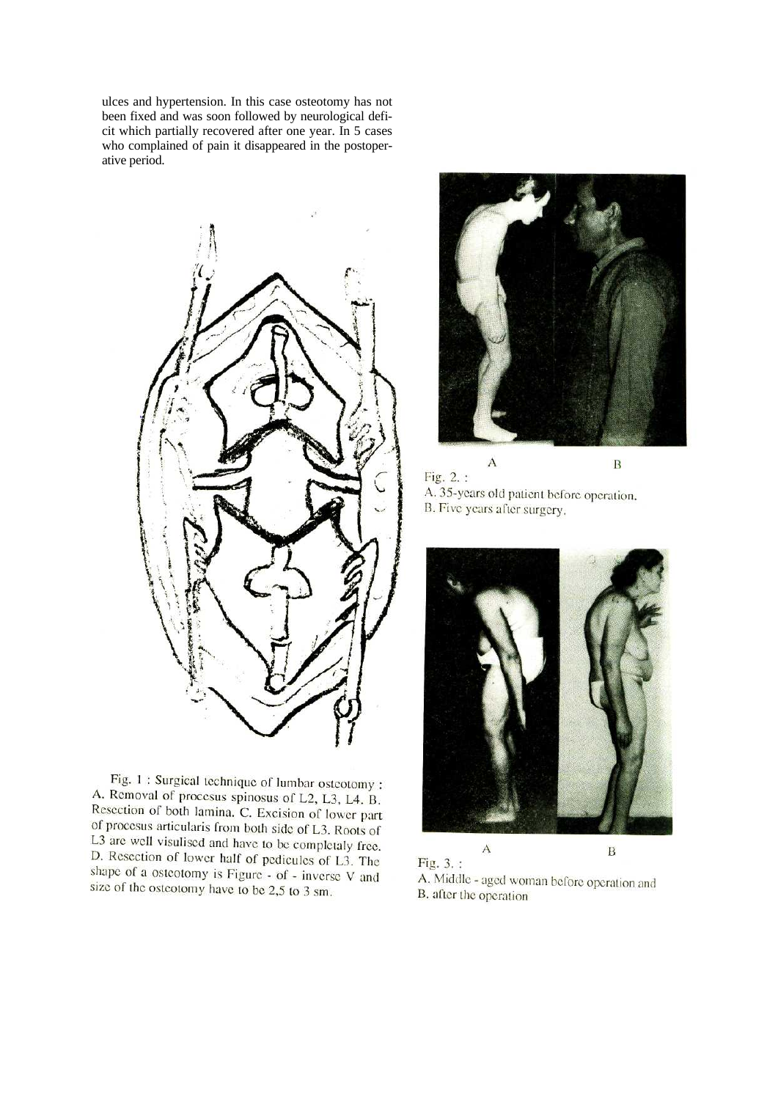ulces and hypertension. In this case osteotomy has not been fixed and was soon followed by neurological deficit which partially recovered after one year. In 5 cases who complained of pain it disappeared in the postoperative period.



Fig.  $1:$  Surgical technique of lumbar osteotomy : A. Removal of procesus spinosus of L2, L3, L4. B. Resection of both lamina. C. Excision of lower part of procesus articularis from both side of L3. Roots of L3 are well visulised and have to be completely free. D. Resection of lower half of pedicules of L3. The shape of a osteotomy is Figure - of - inverse  $V$  and size of the osteotomy have to be  $2,5$  to  $3 \text{ sm}$ .



B Fig. 2.: A. 35-years old patient before operation. B. Five years after surgery.



Fig. 3.: A. Middle - aged woman before operation and B. after the operation